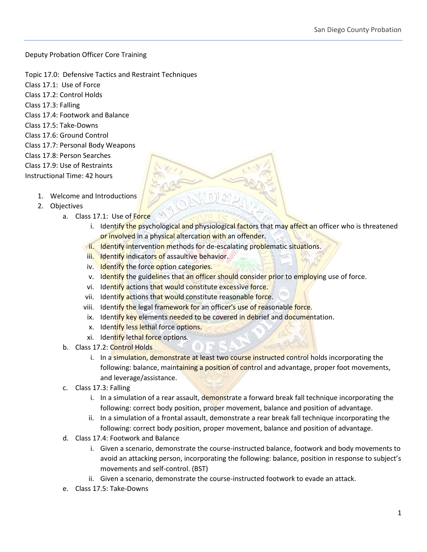Deputy Probation Officer Core Training

- Topic 17.0: Defensive Tactics and Restraint Techniques
- Class 17.1: Use of Force
- Class 17.2: Control Holds
- Class 17.3: Falling
- Class 17.4: Footwork and Balance
- Class 17.5: Take-Downs
- Class 17.6: Ground Control
- Class 17.7: Personal Body Weapons
- Class 17.8: Person Searches
- Class 17.9: Use of Restraints
- Instructional Time: 42 hours
	- 1. Welcome and Introductions
	- 2. Objectives
		- a. Class 17.1: Use of Force
			- i. Identify the psychological and physiological factors that may affect an officer who is threatened or involved in a physical altercation with an offender.
			- ii. Identify intervention methods for de-escalating problematic situations.
				- iii. Identify indicators of assaultive behavior.
				- iv. Identify the force option categories.
				- v. Identify the guidelines that an officer should consider prior to employing use of force.
			- vi. Identify actions that would constitute excessive force.
			- vii. Identify actions that would constitute reasonable force.
			- viii. Identify the legal framework for an officer's use of reasonable force.
			- ix. Identify key elements needed to be covered in debrief and documentation.
			- x. Identify less lethal force options.
			- xi. Identify lethal force options.
			- b. Class 17.2: Control Holds
				- i. In a simulation, demonstrate at least two course instructed control holds incorporating the following: balance, maintaining a position of control and advantage, proper foot movements, and leverage/assistance.
		- c. Class 17.3: Falling
			- i. In a simulation of a rear assault, demonstrate a forward break fall technique incorporating the following: correct body position, proper movement, balance and position of advantage.
			- ii. In a simulation of a frontal assault, demonstrate a rear break fall technique incorporating the following: correct body position, proper movement, balance and position of advantage.
		- d. Class 17.4: Footwork and Balance
			- i. Given a scenario, demonstrate the course-instructed balance, footwork and body movements to avoid an attacking person, incorporating the following: balance, position in response to subject's movements and self-control. (BST)
			- ii. Given a scenario, demonstrate the course-instructed footwork to evade an attack.
		- e. Class 17.5: Take-Downs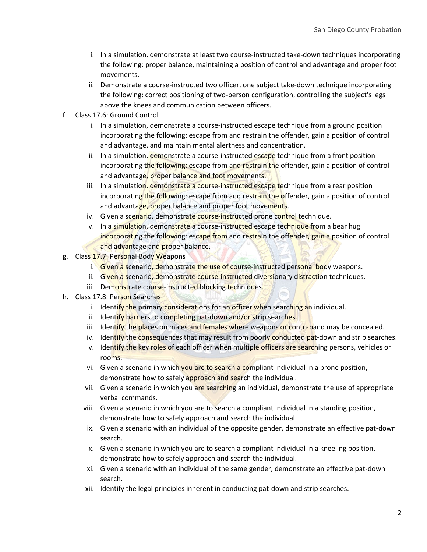- i. In a simulation, demonstrate at least two course-instructed take-down techniques incorporating the following: proper balance, maintaining a position of control and advantage and proper foot movements.
- ii. Demonstrate a course-instructed two officer, one subject take-down technique incorporating the following: correct positioning of two-person configuration, controlling the subject's legs above the knees and communication between officers.
- f. Class 17.6: Ground Control
	- i. In a simulation, demonstrate a course-instructed escape technique from a ground position incorporating the following: escape from and restrain the offender, gain a position of control and advantage, and maintain mental alertness and concentration.
	- ii. In a simulation, demonstrate a course-instructed escape technique from a front position incorporating the following: escape from and restrain the offender, gain a position of control and advantage, proper balance and foot movements.
	- iii. In a simulation, demonstrate a course-instructed escape technique from a rear position incorporating the following: escape from and restrain the offender, gain a position of control and advantage, proper balance and proper foot movements.
	- iv. Given a scenario, demonstrate course-instructed prone control technique.
	- v. In a simulation, demonstrate a course-instructed escape technique from a bear hug incorporating the following: escape from and restrain the offender, gain a position of control and advantage and proper balance.
- g. Class 17.7: Personal Body Weapons
	- i. Given a scenario, demonstrate the use of course-instructed personal body weapons.
	- ii. Given a scenario, demonstrate course-instructed diversionary distraction techniques.
	- iii. Demonstrate course-instructed blocking techniques.
- h. Class 17.8: Person Searches
	- i. Identify the primary considerations for an officer when searching an individual.
	- ii. Identify barriers to completing pat-down and/or strip searches.
	- iii. Identify the places on males and females where weapons or contraband may be concealed.
	- iv. Identify the consequences that may result from poorly conducted pat-down and strip searches.
	- v. Identify the key roles of each officer when multiple officers are searching persons, vehicles or rooms.
	- vi. Given a scenario in which you are to search a compliant individual in a prone position, demonstrate how to safely approach and search the individual.
	- vii. Given a scenario in which you are searching an individual, demonstrate the use of appropriate verbal commands.
	- viii. Given a scenario in which you are to search a compliant individual in a standing position, demonstrate how to safely approach and search the individual.
	- ix. Given a scenario with an individual of the opposite gender, demonstrate an effective pat-down search.
	- x. Given a scenario in which you are to search a compliant individual in a kneeling position, demonstrate how to safely approach and search the individual.
	- xi. Given a scenario with an individual of the same gender, demonstrate an effective pat-down search.
	- xii. Identify the legal principles inherent in conducting pat-down and strip searches.